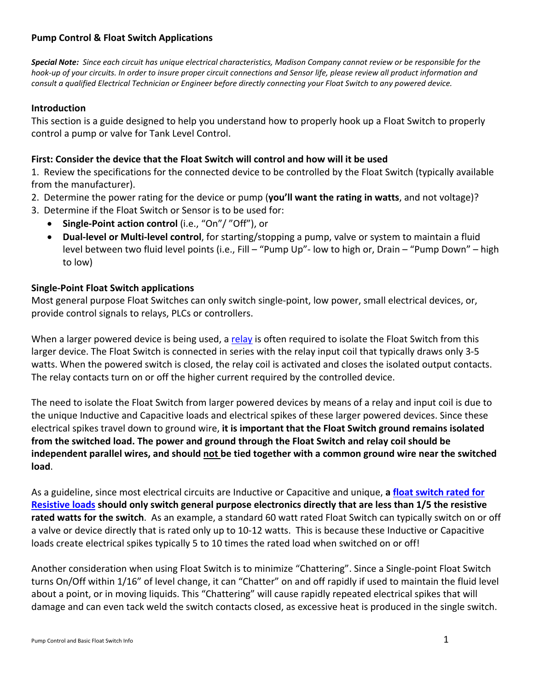# **Pump Control & Float Switch Applications**

Special Note: Since each circuit has unique electrical characteristics, Madison Company cannot review or be responsible for the hook-up of your circuits. In order to insure proper circuit connections and Sensor life, please review all product information and consult a qualified Electrical Technician or Engineer before directly connecting your Float Switch to any powered device.

### **Introduction**

This section is a guide designed to help you understand how to properly hook up a Float Switch to properly control a pump or valve for Tank Level Control.

### **First: Consider the device that the Float Switch will control and how will it be used**

1. Review the specifications for the connected device to be controlled by the Float Switch (typically available from the manufacturer).

- 2. Determine the power rating for the device or pump (**you'll want the rating in watts**, and not voltage)?
- 3. Determine if the Float Switch or Sensor is to be used for:
	- **Single‐Point action control** (i.e., "On"/ "Off"), or
	- **Dual‐level or Multi‐level control**, for starting/stopping a pump, valve or system to maintain a fluid level between two fluid level points (i.e., Fill – "Pump Up"‐ low to high or, Drain – "Pump Down" – high to low)

#### **Single‐Point Float Switch applications**

Most general purpose Float Switches can only switch single-point, low power, small electrical devices, or, provide control signals to relays, PLCs or controllers.

When a larger powered device is being used, a relay is often required to isolate the Float Switch from this larger device. The Float Switch is connected in series with the relay input coil that typically draws only 3‐5 watts. When the powered switch is closed, the relay coil is activated and closes the isolated output contacts. The relay contacts turn on or off the higher current required by the controlled device.

The need to isolate the Float Switch from larger powered devices by means of a relay and input coil is due to the unique Inductive and Capacitive loads and electrical spikes of these larger powered devices. Since these electrical spikes travel down to ground wire, **it is important that the Float Switch ground remains isolated from the switched load. The power and ground through the Float Switch and relay coil should be independent parallel wires, and should not be tied together with a common ground wire near the switched load**.

As a guideline, since most electrical circuits are Inductive or Capacitive and unique, **a float switch rated for Resistive loads should only switch general purpose electronics directly that are less than 1/5 the resistive rated watts for the switch**. As an example, a standard 60 watt rated Float Switch can typically switch on or off a valve or device directly that is rated only up to 10‐12 watts. This is because these Inductive or Capacitive loads create electrical spikes typically 5 to 10 times the rated load when switched on or off!

Another consideration when using Float Switch is to minimize "Chattering". Since a Single‐point Float Switch turns On/Off within 1/16" of level change, it can "Chatter" on and off rapidly if used to maintain the fluid level about a point, or in moving liquids. This "Chattering" will cause rapidly repeated electrical spikes that will damage and can even tack weld the switch contacts closed, as excessive heat is produced in the single switch.